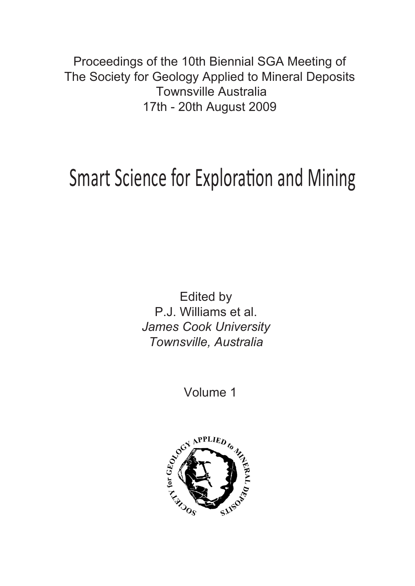Proceedings of the 10th Biennial SGA Meeting of The Society for Geology Applied to Mineral Deposits Townsville Australia 17th - 20th August 2009

# Smart Science for Exploration and Mining

Edited by P.J. Williams et al. *James Cook University Townsville, Australia*

Volume 1

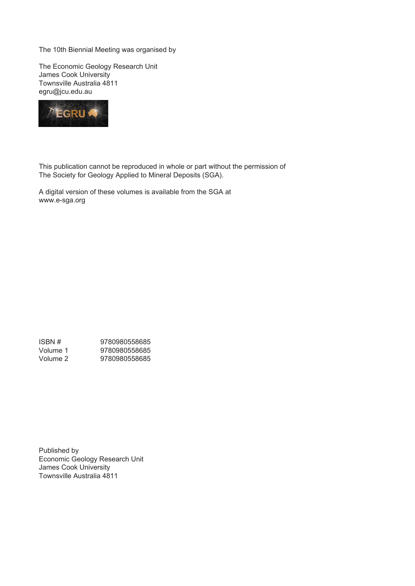The 10th Biennial Meeting was organised by

The Economic Geology Research Unit James Cook University Townsville Australia 4811 egru@jcu.edu.au



This publication cannot be reproduced in whole or part without the permission of The Society for Geology Applied to Mineral Deposits (SGA).

A digital version of these volumes is available from the SGA at www.e-sga.org

ISBN # 9780980558685<br>Volume 1 9780980558685 9780980558685<br>9780980558685  $Volume<sub>1</sub>$ <br>Volume 2

Published by Economic Geology Research Unit James Cook University Townsville Australia 4811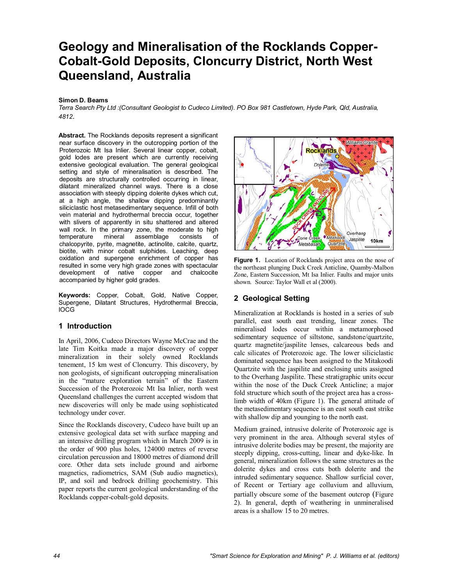## **Geology and Mineralisation of the Rocklands Copper-Cobalt-Gold Deposits, Cloncurry District, North West Queensland, Australia**

#### **Simon D. Beams**

*Terra Search Pty Ltd :(Consultant Geologist to Cudeco Limited). PO Box 981 Castletown, Hyde Park, Qld, Australia, 4812*.

**Abstract.** The Rocklands deposits represent a significant near surface discovery in the outcropping portion of the Proterozoic Mt Isa Inlier. Several linear copper, cobalt, gold lodes are present which are currently receiving extensive geological evaluation. The general geological setting and style of mineralisation is described. The deposits are structurally controlled occurring in linear, dilatant mineralized channel ways. There is a close association with steeply dipping dolerite dykes which cut, at a high angle, the shallow dipping predominantly siliciclastic host metasedimentary sequence. Infill of both vein material and hydrothermal breccia occur, together with slivers of apparently in situ shattered and altered wall rock. In the primary zone, the moderate to high temperature mineral assemblage consists of chalcopyrite, pyrite, magnetite, actinolite, calcite, quartz, biotite, with minor cobalt sulphides. Leaching, deep oxidation and supergene enrichment of copper has resulted in some very high grade zones with spectacular development of native copper and chalcocite accompanied by higher gold grades.

**Keywords:** Copper, Cobalt, Gold, Native Copper, Supergene, Dilatant Structures, Hydrothermal Breccia, IOCG

#### **1 Introduction**

In April, 2006, Cudeco Directors Wayne McCrae and the late Tim Koitka made a major discovery of copper mineralization in their solely owned Rocklands tenement, 15 km west of Cloncurry. This discovery, by non geologists, of significant outcropping mineralisation in the "mature exploration terrain" of the Eastern Succession of the Proterozoic Mt Isa Inlier, north west Queensland challenges the current accepted wisdom that new discoveries will only be made using sophisticated technology under cover.

Since the Rocklands discovery, Cudeco have built up an extensive geological data set with surface mapping and an intensive drilling program which in March 2009 is in the order of 900 plus holes, 124000 metres of reverse circulation percussion and 18000 metres of diamond drill core. Other data sets include ground and airborne magnetics, radiometrics, SAM (Sub audio magnetics), IP, and soil and bedrock drilling geochemistry. This paper reports the current geological understanding of the Rocklands copper-cobalt-gold deposits.



Figure 1. Location of Rocklands project area on the nose of the northeast plunging Duck Creek Anticline, Quamby-Malbon Zone, Eastern Succession, Mt Isa Inlier. Faults and major units shown. Source: Taylor Wall et al (2000).

#### **2 Geological Setting**

Mineralization at Rocklands is hosted in a series of sub parallel, east south east trending, linear zones. The mineralised lodes occur within a metamorphosed sedimentary sequence of siltstone, sandstone/quartzite, quartz magnetite/jaspilite lenses, calcareous beds and calc silicates of Proterozoic age. The lower siliciclastic dominated sequence has been assigned to the Mitakoodi Quartzite with the jaspilite and enclosing units assigned to the Overhang Jaspilite. These stratigraphic units occur within the nose of the Duck Creek Anticline; a major fold structure which south of the project area has a crosslimb width of 40km (Figure 1). The general attitude of the metasedimentary sequence is an east south east strike with shallow dip and younging to the north east.

Medium grained, intrusive dolerite of Proterozoic age is very prominent in the area. Although several styles of intrusive dolerite bodies may be present, the majority are steeply dipping, cross-cutting, linear and dyke-like. In general, mineralization follows the same structures as the dolerite dykes and cross cuts both dolerite and the intruded sedimentary sequence. Shallow surficial cover, of Recent or Tertiary age colluvium and alluvium, partially obscure some of the basement outcrop (Figure 2). In general, depth of weathering in unmineralised areas is a shallow 15 to 20 metres.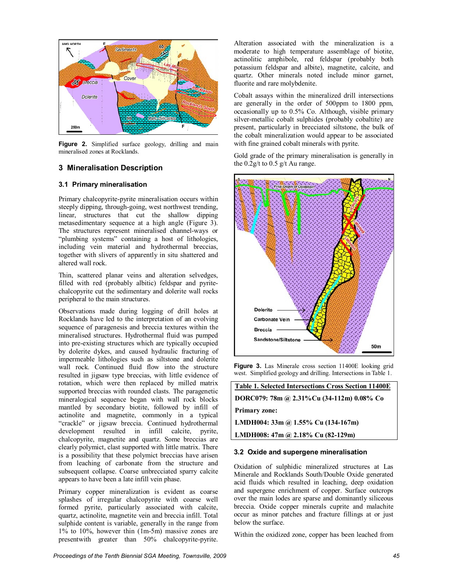

Figure 2. Simplified surface geology, drilling and main mineralised zones at Rocklands.

#### **3 Mineralisation Description**

#### **3.1 Primary mineralisation**

Primary chalcopyrite-pyrite mineralisation occurs within steeply dipping, through-going, west northwest trending, linear, structures that cut the shallow dipping metasedimentary sequence at a high angle (Figure 3). The structures represent mineralised channel-ways or "plumbing systems" containing a host of lithologies, including vein material and hydrothermal breccias, together with slivers of apparently in situ shattered and altered wall rock.

Thin, scattered planar veins and alteration selvedges, filled with red (probably albitic) feldspar and pyritechalcopyrite cut the sedimentary and dolerite wall rocks peripheral to the main structures.

Observations made during logging of drill holes at Rocklands have led to the interpretation of an evolving sequence of paragenesis and breccia textures within the mineralised structures. Hydrothermal fluid was pumped into pre-existing structures which are typically occupied by dolerite dykes, and caused hydraulic fracturing of impermeable lithologies such as siltstone and dolerite wall rock. Continued fluid flow into the structure resulted in jigsaw type breccias, with little evidence of rotation, which were then replaced by milled matrix supported breccias with rounded clasts. The paragenetic mineralogical sequence began with wall rock blocks mantled by secondary biotite, followed by infill of actinolite and magnetite, commonly in a typical "crackle" or jigsaw breccia. Continued hydrothermal development resulted in infill calcite, pyrite, chalcopyrite, magnetite and quartz. Some breccias are clearly polymict, clast supported with little matrix. There is a possibility that these polymict breccias have arisen from leaching of carbonate from the structure and subsequent collapse. Coarse unbrecciated sparry calcite appears to have been a late infill vein phase.

Primary copper mineralization is evident as coarse splashes of irregular chalcopyrite with coarse well formed pyrite, particularly associated with calcite, quartz, actinolite, magnetite vein and breccia infill. Total sulphide content is variable, generally in the range from 1% to 10%, however thin (1m-5m) massive zones are presentwith greater than 50% chalcopyrite-pyrite.

Alteration associated with the mineralization is a moderate to high temperature assemblage of biotite, actinolitic amphibole, red feldspar (probably both potassium feldspar and albite), magnetite, calcite, and quartz. Other minerals noted include minor garnet, fluorite and rare molybdenite.

Cobalt assays within the mineralized drill intersections are generally in the order of 500ppm to 1800 ppm, occasionally up to 0.5% Co. Although, visible primary silver-metallic cobalt sulphides (probably cobaltite) are present, particularly in brecciated siltstone, the bulk of the cobalt mineralization would appear to be associated with fine grained cobalt minerals with pyrite.

Gold grade of the primary mineralisation is generally in the  $0.2g/t$  to  $0.5 g/t$  Au range.



**Figure 3.** Las Minerale cross section 11400E looking grid west. Simplified geology and drilling. Intersections in Table 1.

**Table 1. Selected Intersections Cross Section 11400E DORC079: 78m @ 2.31%Cu (34-112m) 0.08% Co Primary zone: LMDH004: 33m @ 1.55% Cu (134-167m) LMDH008: 47m @ 2.18% Cu (82-129m)** 

#### **3.2 Oxide and supergene mineralisation**

Oxidation of sulphidic mineralized structures at Las Minerale and Rocklands South/Double Oxide generated acid fluids which resulted in leaching, deep oxidation and supergene enrichment of copper. Surface outcrops over the main lodes are sparse and dominantly siliceous breccia. Oxide copper minerals cuprite and malachite occur as minor patches and fracture fillings at or just below the surface.

Within the oxidized zone, copper has been leached from